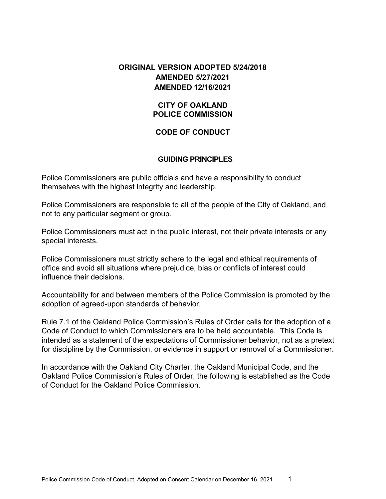## **ORIGINAL VERSION ADOPTED 5/24/2018 AMENDED 5/27/2021 AMENDED 12/16/2021**

### **CITY OF OAKLAND POLICE COMMISSION**

## **CODE OF CONDUCT**

#### **GUIDING PRINCIPLES**

Police Commissioners are public officials and have a responsibility to conduct themselves with the highest integrity and leadership.

Police Commissioners are responsible to all of the people of the City of Oakland, and not to any particular segment or group.

Police Commissioners must act in the public interest, not their private interests or any special interests.

Police Commissioners must strictly adhere to the legal and ethical requirements of office and avoid all situations where prejudice, bias or conflicts of interest could influence their decisions.

Accountability for and between members of the Police Commission is promoted by the adoption of agreed-upon standards of behavior.

Rule 7.1 of the Oakland Police Commission's Rules of Order calls for the adoption of a Code of Conduct to which Commissioners are to be held accountable. This Code is intended as a statement of the expectations of Commissioner behavior, not as a pretext for discipline by the Commission, or evidence in support or removal of a Commissioner.

In accordance with the Oakland City Charter, the Oakland Municipal Code, and the Oakland Police Commission's Rules of Order, the following is established as the Code of Conduct for the Oakland Police Commission.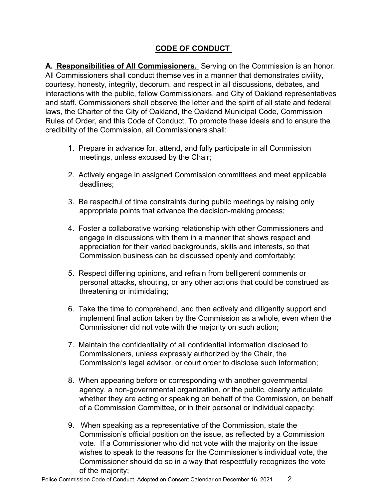# **CODE OF CONDUCT**

**A. Responsibilities of All Commissioners.** Serving on the Commission is an honor. All Commissioners shall conduct themselves in a manner that demonstrates civility, courtesy, honesty, integrity, decorum, and respect in all discussions, debates, and interactions with the public, fellow Commissioners, and City of Oakland representatives and staff. Commissioners shall observe the letter and the spirit of all state and federal laws, the Charter of the City of Oakland, the Oakland Municipal Code, Commission Rules of Order, and this Code of Conduct. To promote these ideals and to ensure the credibility of the Commission, all Commissioners shall:

- 1. Prepare in advance for, attend, and fully participate in all Commission meetings, unless excused by the Chair;
- 2. Actively engage in assigned Commission committees and meet applicable deadlines;
- 3. Be respectful of time constraints during public meetings by raising only appropriate points that advance the decision-making process;
- 4. Foster a collaborative working relationship with other Commissioners and engage in discussions with them in a manner that shows respect and appreciation for their varied backgrounds, skills and interests, so that Commission business can be discussed openly and comfortably;
- 5. Respect differing opinions, and refrain from belligerent comments or personal attacks, shouting, or any other actions that could be construed as threatening or intimidating;
- 6. Take the time to comprehend, and then actively and diligently support and implement final action taken by the Commission as a whole, even when the Commissioner did not vote with the majority on such action;
- 7. Maintain the confidentiality of all confidential information disclosed to Commissioners, unless expressly authorized by the Chair, the Commission's legal advisor, or court order to disclose such information;
- 8. When appearing before or corresponding with another governmental agency, a non-governmental organization, or the public, clearly articulate whether they are acting or speaking on behalf of the Commission, on behalf of a Commission Committee, or in their personal or individual capacity;
- 9. When speaking as a representative of the Commission, state the Commission's official position on the issue, as reflected by a Commission vote. If a Commissioner who did not vote with the majority on the issue wishes to speak to the reasons for the Commissioner's individual vote, the Commissioner should do so in a way that respectfully recognizes the vote of the majority;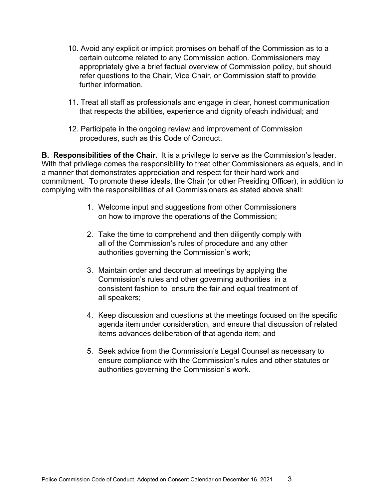- 10. Avoid any explicit or implicit promises on behalf of the Commission as to a certain outcome related to any Commission action. Commissioners may appropriately give a brief factual overview of Commission policy, but should refer questions to the Chair, Vice Chair, or Commission staff to provide further information.
- 11. Treat all staff as professionals and engage in clear, honest communication that respects the abilities, experience and dignity ofeach individual; and
- 12. Participate in the ongoing review and improvement of Commission procedures, such as this Code of Conduct.

**B. Responsibilities of the Chair.** It is a privilege to serve as the Commission's leader. With that privilege comes the responsibility to treat other Commissioners as equals, and in a manner that demonstrates appreciation and respect for their hard work and commitment. To promote these ideals, the Chair (or other Presiding Officer), in addition to complying with the responsibilities of all Commissioners as stated above shall:

- 1. Welcome input and suggestions from other Commissioners on how to improve the operations of the Commission;
- 2. Take the time to comprehend and then diligently comply with all of the Commission's rules of procedure and any other authorities governing the Commission's work;
- 3. Maintain order and decorum at meetings by applying the Commission's rules and other governing authorities in a consistent fashion to ensure the fair and equal treatment of all speakers;
- 4. Keep discussion and questions at the meetings focused on the specific agenda itemunder consideration, and ensure that discussion of related items advances deliberation of that agenda item; and
- 5. Seek advice from the Commission's Legal Counsel as necessary to ensure compliance with the Commission's rules and other statutes or authorities governing the Commission's work.